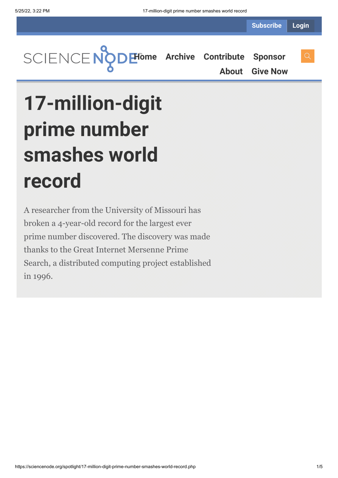

**[About](https://sciencenode.org/about/index.php) [Give Now](https://sciencenode.org/donate/index.php)**

## **17-million-digit prime number smashes world record**

A researcher from the University of Missouri has broken a 4-year-old record for the largest ever prime number discovered. The discovery was made thanks to the Great Internet Mersenne Prime Search, a distributed computing project established in 1996.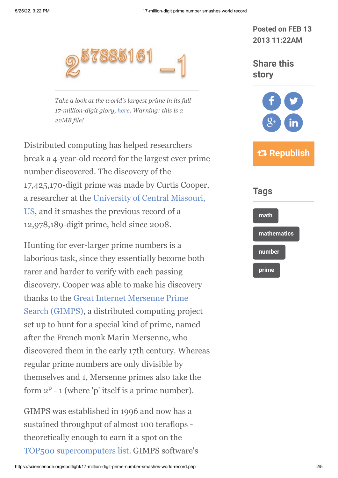

*Take a look at the world's largest prime in its full 17-million-digit glory, [here](http://www.isthe.com/chongo/tech/math/digit/m57885161/huge-prime-c.html). Warning: this is a 22MB file!*

Distributed computing has helped researchers break a 4-year-old record for the largest ever prime number discovered. The discovery of the 17,425,170-digit prime was made by Curtis Cooper, [a researcher at the University of Central Missouri,](http://www.ucmo.edu/future.cfm) US, and it smashes the previous record of a 12,978,189-digit prime, held since 2008.

Hunting for ever-larger prime numbers is a laborious task, since they essentially become both rarer and harder to verify with each passing discovery. Cooper was able to make his discovery [thanks to the Great Internet Mersenne Prime](http://www.mersenne.org/) Search (GIMPS), a distributed computing project set up to hunt for a special kind of prime, named after the French monk Marin Mersenne, who discovered them in the early 17th century. Whereas regular prime numbers are only divisible by themselves and 1, Mersenne primes also take the form  $2^p - 1$  (where 'p' itself is a prime number).

GIMPS was established in 1996 and now has a sustained throughput of almost 100 teraflops theoretically enough to earn it a spot on the [TOP500 supercomputers list](http://www.top500.org/). GIMPS software's **Posted on FEB 13 2013 11:22AM**

**Share this story**



 **Republish**

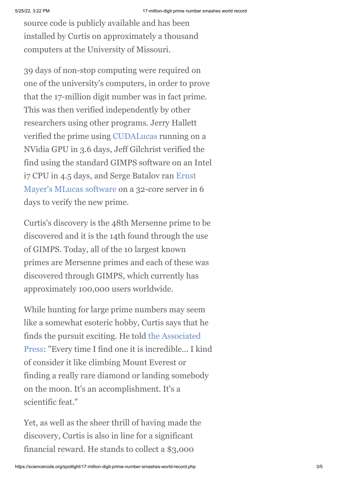source code is publicly available and has been installed by Curtis on approximately a thousand computers at the University of Missouri.

39 days of non-stop computing were required on one of the university's computers, in order to prove that the 17-million digit number was in fact prime. This was then verified independently by other researchers using other programs. Jerry Hallett verified the prime using [CUDALucas](http://sourceforge.net/projects/cudalucas/) running on a NVidia GPU in 3.6 days, Jeff Gilchrist verified the find using the standard GIMPS software on an Intel i7 CPU in 4.5 days, and Serge Batalov ran Ernst [Mayer's MLucas software on a 32-core server in](http://hogranch.com/mayer/README.html) 6 days to verify the new prime.

Curtis's discovery is the 48th Mersenne prime to be discovered and it is the 14th found through the use of GIMPS. Today, all of the 10 largest known primes are Mersenne primes and each of these was discovered through GIMPS, which currently has approximately 100,000 users worldwide.

While hunting for large prime numbers may seem like a somewhat esoteric hobby, Curtis says that he finds the pursuit exciting. He told the Associated [Press: "Every time I find one it is incredible... I ki](http://www.ap.org/)nd of consider it like climbing Mount Everest or finding a really rare diamond or landing somebody on the moon. It's an accomplishment. It's a scientific feat."

Yet, as well as the sheer thrill of having made the discovery, Curtis is also in line for a significant financial reward. He stands to collect a \$3,000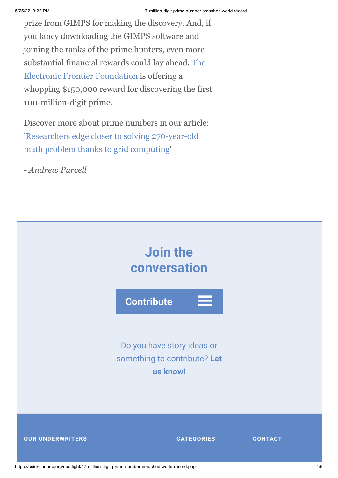prize from GIMPS for making the discovery. And, if you fancy downloading the GIMPS software and joining the ranks of the prime hunters, even more [substantial financial rewards could lay ahead. The](https://www.eff.org/) Electronic Frontier Foundation is offering a whopping \$150,000 reward for discovering the first 100-million-digit prime.

Discover more about prime numbers in our article: ['Researchers edge closer to solving 270-year-old](http://www.isgtw.org/feature/researchers-edge-closer-solving-270-year-old-math-problem-thanks-grid-computing) math problem thanks to grid computing'

*- Andrew Purcell*